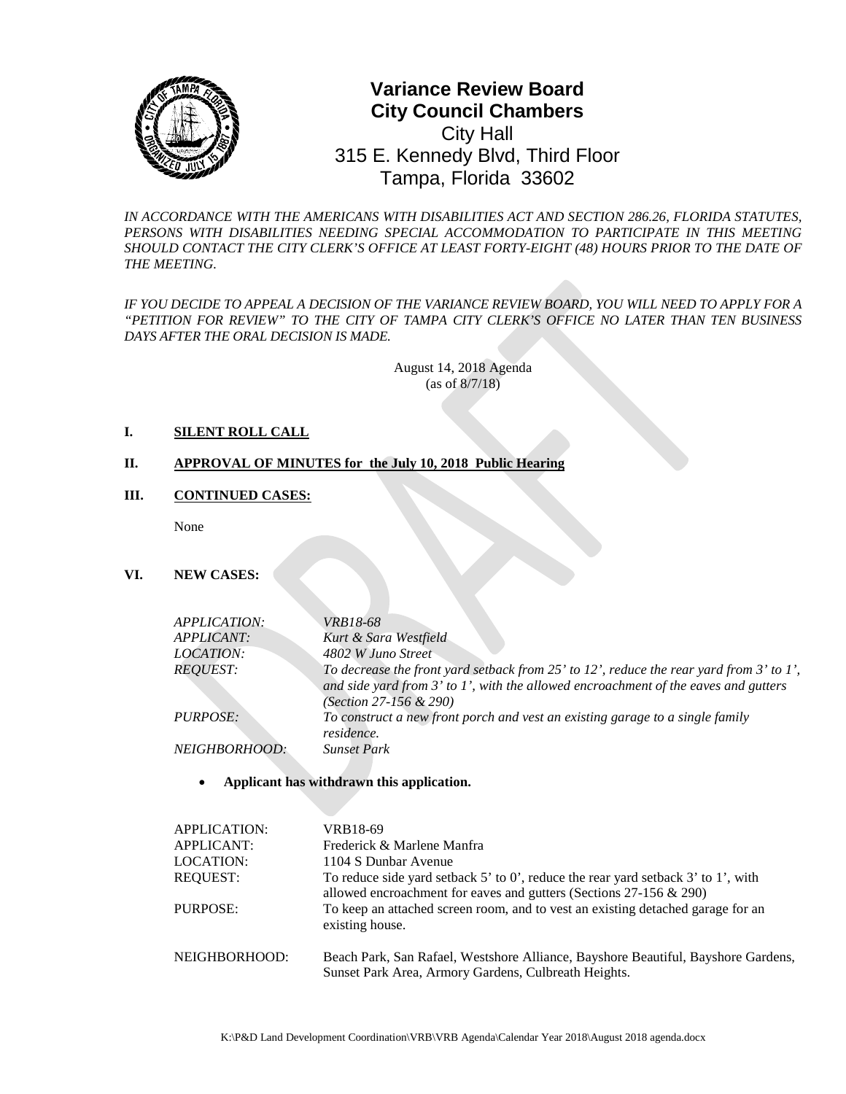

# **0** Tampa, Florida 33602 **Variance Review Board City Council Chambers** City Hall 315 E. Kennedy Blvd, Third Floor

*IN ACCORDANCE WITH THE AMERICANS WITH DISABILITIES ACT AND SECTION 286.26, FLORIDA STATUTES, PERSONS WITH DISABILITIES NEEDING SPECIAL ACCOMMODATION TO PARTICIPATE IN THIS MEETING SHOULD CONTACT THE CITY CLERK'S OFFICE AT LEAST FORTY-EIGHT (48) HOURS PRIOR TO THE DATE OF THE MEETING.*

*IF YOU DECIDE TO APPEAL A DECISION OF THE VARIANCE REVIEW BOARD, YOU WILL NEED TO APPLY FOR A "PETITION FOR REVIEW" TO THE CITY OF TAMPA CITY CLERK'S OFFICE NO LATER THAN TEN BUSINESS DAYS AFTER THE ORAL DECISION IS MADE.* 

> August 14, 2018 Agenda (as of 8/7/18)

#### **I. SILENT ROLL CALL**

## **II. APPROVAL OF MINUTES for the July 10, 2018 Public Hearing**

#### **III. CONTINUED CASES:**

None

## **VI. NEW CASES:**

| <i>APPLICATION:</i>  | <i>VRB18-68</i>                                                                                                                                                                                                         |
|----------------------|-------------------------------------------------------------------------------------------------------------------------------------------------------------------------------------------------------------------------|
| APPLICANT:           | Kurt & Sara Westfield                                                                                                                                                                                                   |
| <i>LOCATION:</i>     | 4802 W Juno Street                                                                                                                                                                                                      |
| <i>REOUEST:</i>      | To decrease the front yard setback from $25'$ to $12'$ , reduce the rear yard from $3'$ to $1'$ ,<br>and side yard from $3'$ to $1'$ , with the allowed encroachment of the eaves and gutters<br>(Section 27-156 & 290) |
| <i>PURPOSE:</i>      | To construct a new front porch and vest an existing garage to a single family<br>residence.                                                                                                                             |
| <i>NEIGHBORHOOD:</i> | <b>Sunset Park</b>                                                                                                                                                                                                      |
|                      |                                                                                                                                                                                                                         |

#### • **Applicant has withdrawn this application.**

| APPLICATION:<br><b>APPLICANT:</b> | VRB18-69<br>Frederick & Marlene Manfra                                                                                                                      |
|-----------------------------------|-------------------------------------------------------------------------------------------------------------------------------------------------------------|
| LOCATION:                         | 1104 S Dunbar Avenue                                                                                                                                        |
| <b>REOUEST:</b>                   | To reduce side yard setback 5' to 0', reduce the rear yard setback 3' to 1', with<br>allowed encroachment for eaves and gutters (Sections $27-156 \& 290$ ) |
| PURPOSE:                          | To keep an attached screen room, and to vest an existing detached garage for an<br>existing house.                                                          |
| NEIGHBORHOOD:                     | Beach Park, San Rafael, Westshore Alliance, Bayshore Beautiful, Bayshore Gardens,<br>Sunset Park Area, Armory Gardens, Culbreath Heights.                   |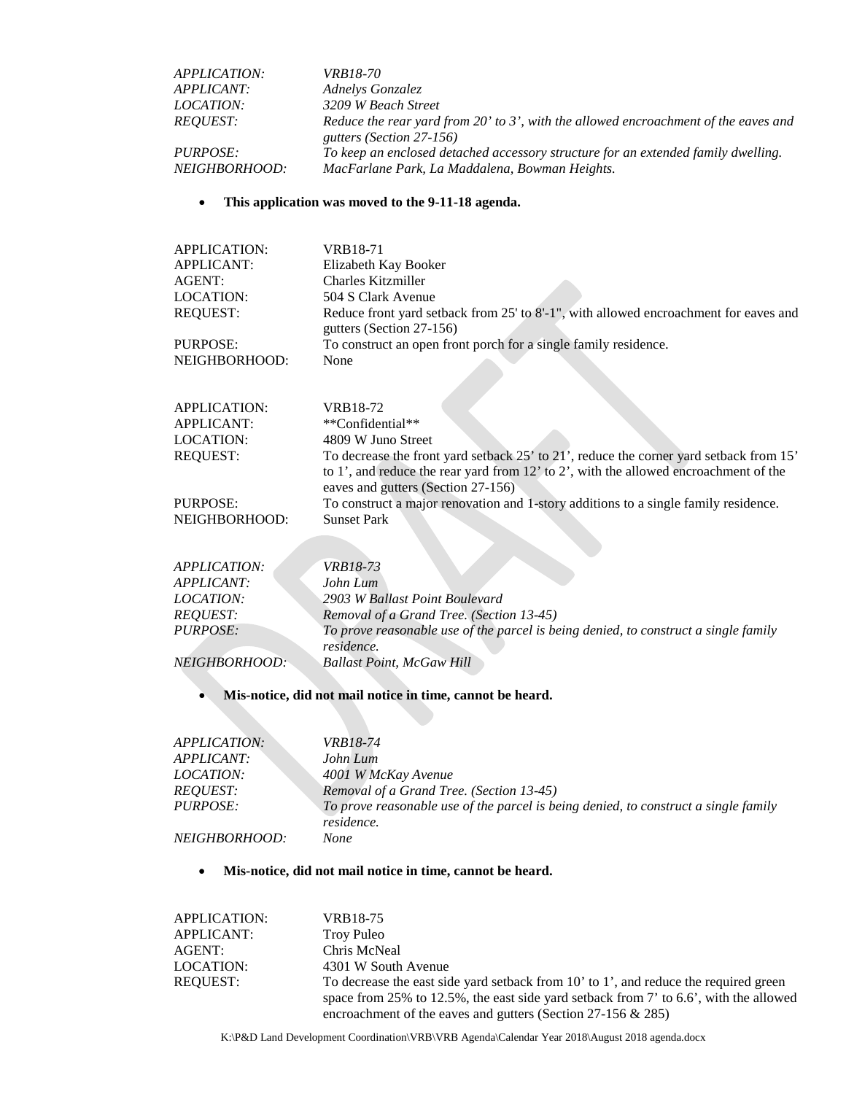| <i>APPLICATION:</i>  | <i>VRB18-70</i>                                                                     |
|----------------------|-------------------------------------------------------------------------------------|
| <i>APPLICANT:</i>    | Adnelys Gonzalez                                                                    |
| <i>LOCATION:</i>     | 3209 W Beach Street                                                                 |
| <i>REOUEST:</i>      | Reduce the rear yard from 20' to 3', with the allowed encroachment of the eaves and |
|                      | gutters (Section 27-156)                                                            |
| <i>PURPOSE:</i>      | To keep an enclosed detached accessory structure for an extended family dwelling.   |
| <i>NEIGHBORHOOD:</i> | MacFarlane Park, La Maddalena, Bowman Heights.                                      |

## • **This application was moved to the 9-11-18 agenda.**

| <b>APPLICATION:</b>                         | VRB18-71                                                                                                                                                                       |
|---------------------------------------------|--------------------------------------------------------------------------------------------------------------------------------------------------------------------------------|
| <b>APPLICANT:</b>                           | Elizabeth Kay Booker                                                                                                                                                           |
| AGENT:                                      | <b>Charles Kitzmiller</b>                                                                                                                                                      |
| LOCATION:                                   | 504 S Clark Avenue                                                                                                                                                             |
| <b>REQUEST:</b>                             | Reduce front yard setback from 25' to 8'-1", with allowed encroachment for eaves and                                                                                           |
|                                             | gutters (Section 27-156)                                                                                                                                                       |
| PURPOSE:                                    | To construct an open front porch for a single family residence.                                                                                                                |
| NEIGHBORHOOD:                               | None                                                                                                                                                                           |
|                                             |                                                                                                                                                                                |
|                                             |                                                                                                                                                                                |
| <b>APPLICATION:</b>                         | VRB18-72                                                                                                                                                                       |
| <b>APPLICANT:</b>                           | **Confidential**                                                                                                                                                               |
| LOCATION:                                   | 4809 W Juno Street                                                                                                                                                             |
| <b>REQUEST:</b>                             | To decrease the front yard setback 25' to 21', reduce the corner yard setback from 15'<br>to 1', and reduce the rear yard from 12' to 2', with the allowed encroachment of the |
|                                             | eaves and gutters (Section 27-156)                                                                                                                                             |
| PURPOSE:                                    | To construct a major renovation and 1-story additions to a single family residence.                                                                                            |
| NEIGHBORHOOD:                               | <b>Sunset Park</b>                                                                                                                                                             |
|                                             |                                                                                                                                                                                |
|                                             |                                                                                                                                                                                |
| <i>APPLICATION:</i>                         | <i>VRB18-73</i>                                                                                                                                                                |
| APPLICANT:                                  | John Lum                                                                                                                                                                       |
| $I$ $\Omega$ $C$ $A$ $T$ $I$ $\Omega$ $N$ . | $2002$ W $D$ alloot $D$ aint $D$ and avand                                                                                                                                     |

| .                    |                                                                                     |
|----------------------|-------------------------------------------------------------------------------------|
| <i>LOCATION:</i>     | 2903 W Ballast Point Boulevard                                                      |
| <i>REOUEST:</i>      | Removal of a Grand Tree. (Section 13-45)                                            |
| <i>PURPOSE:</i>      | To prove reasonable use of the parcel is being denied, to construct a single family |
|                      | residence.                                                                          |
| <i>NEIGHBORHOOD:</i> | <b>Ballast Point, McGaw Hill</b>                                                    |

# • **Mis-notice, did not mail notice in time, cannot be heard.**

| APPLICATION: I       | <i>VRB18-74</i>                                                                     |
|----------------------|-------------------------------------------------------------------------------------|
| APPLICANT:           | John Lum                                                                            |
| <i>LOCATION:</i>     | 4001 W McKay Avenue                                                                 |
| <i>REOUEST:</i>      | Removal of a Grand Tree. (Section 13-45)                                            |
| <i>PURPOSE:</i>      | To prove reasonable use of the parcel is being denied, to construct a single family |
|                      | residence.                                                                          |
| <i>NEIGHBORHOOD:</i> | None                                                                                |
|                      |                                                                                     |

## • **Mis-notice, did not mail notice in time, cannot be heard.**

| APPLICATION: | VRB18-75                                                                                 |
|--------------|------------------------------------------------------------------------------------------|
| APPLICANT:   | Troy Puleo                                                                               |
| AGENT:       | Chris McNeal                                                                             |
| LOCATION:    | 4301 W South Avenue                                                                      |
| REOUEST:     | To decrease the east side yard setback from 10' to 1', and reduce the required green     |
|              | space from 25% to 12.5%, the east side yard setback from 7' to $6.6$ ', with the allowed |
|              | encroachment of the eaves and gutters (Section 27-156 $\&$ 285)                          |

K:\P&D Land Development Coordination\VRB\VRB Agenda\Calendar Year 2018\August 2018 agenda.docx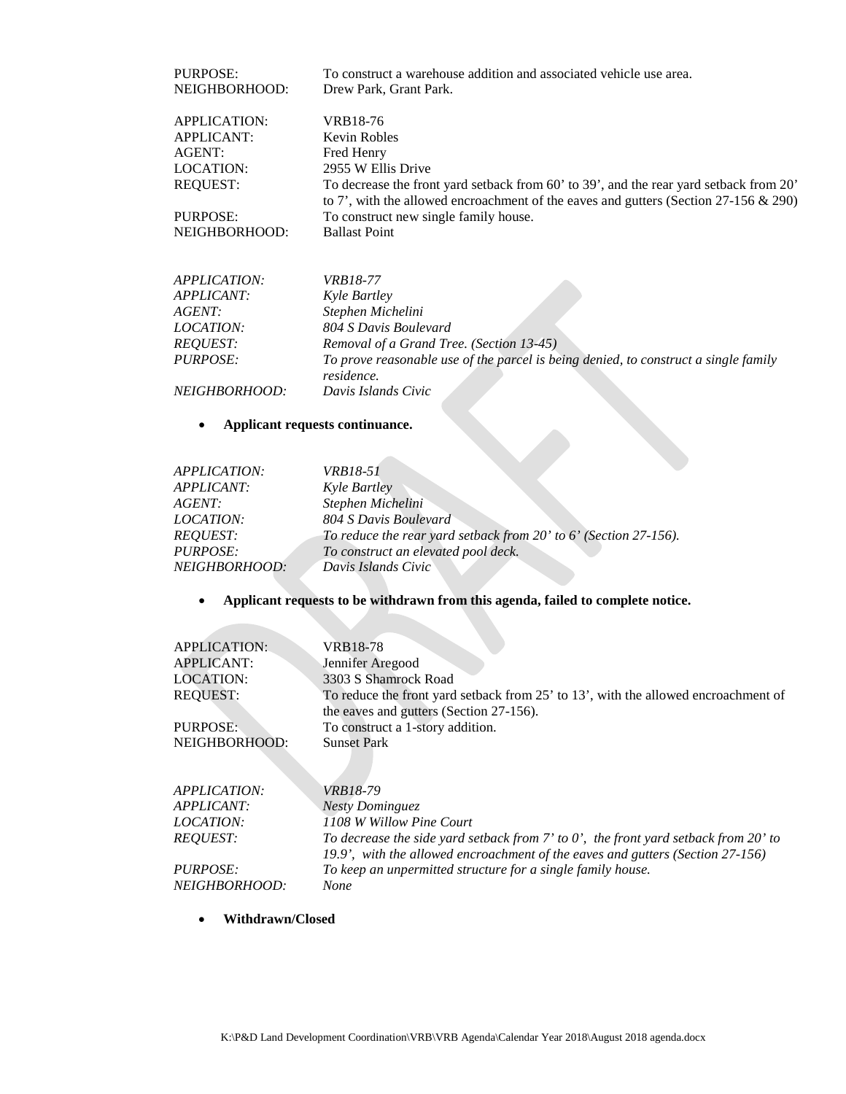| PURPOSE:                  | To construct a warehouse addition and associated vehicle use area.                                                                                                                 |
|---------------------------|------------------------------------------------------------------------------------------------------------------------------------------------------------------------------------|
| NEIGHBORHOOD:             | Drew Park, Grant Park.                                                                                                                                                             |
| APPLICATION:              | VRB18-76                                                                                                                                                                           |
| APPLICANT:                | Kevin Robles                                                                                                                                                                       |
| AGENT:                    | Fred Henry                                                                                                                                                                         |
| LOCATION:                 | 2955 W Ellis Drive                                                                                                                                                                 |
| REQUEST:                  | To decrease the front yard setback from 60' to 39', and the rear yard setback from 20'<br>to 7', with the allowed encroachment of the eaves and gutters (Section $27-156 \& 290$ ) |
| PURPOSE:<br>NEIGHBORHOOD: | To construct new single family house.<br><b>Ballast Point</b>                                                                                                                      |

| <i>APPLICATION:</i>  | <i>VRB18-77</i>                                                                                   |
|----------------------|---------------------------------------------------------------------------------------------------|
| <i>APPLICANT:</i>    | Kyle Bartley                                                                                      |
| <i>AGENT:</i>        | Stephen Michelini                                                                                 |
| <i>LOCATION:</i>     | 804 S Davis Boulevard                                                                             |
| <b>REQUEST:</b>      | Removal of a Grand Tree. (Section 13-45)                                                          |
| <b>PURPOSE:</b>      | To prove reasonable use of the parcel is being denied, to construct a single family<br>residence. |
| <i>NEIGHBORHOOD:</i> | Davis Islands Civic                                                                               |
|                      | Applicant requests continuance.                                                                   |

## • **Applicant requests continuance.**

| <i>APPLICATION:</i>      | <i>VRB18-51</i>                                                  |
|--------------------------|------------------------------------------------------------------|
| <i><b>APPLICANT:</b></i> | <i>Kyle Bartley</i>                                              |
| AGENT:                   | Stephen Michelini                                                |
| <i>LOCATION:</i>         | 804 S Davis Boulevard                                            |
| <b>REOUEST:</b>          | To reduce the rear yard setback from 20' to 6' (Section 27-156). |
| PURPOSE:                 | To construct an elevated pool deck.                              |
| NEIGHBORHOOD:            | Davis Islands Civic                                              |

# • **Applicant requests to be withdrawn from this agenda, failed to complete notice.**

| <b>APPLICATION:</b> | VRB18-78                                                                                   |
|---------------------|--------------------------------------------------------------------------------------------|
| <b>APPLICANT:</b>   | Jennifer Aregood                                                                           |
| <b>LOCATION:</b>    | 3303 S Shamrock Road                                                                       |
| <b>REQUEST:</b>     | To reduce the front yard setback from 25' to 13', with the allowed encroachment of         |
|                     | the eaves and gutters (Section 27-156).                                                    |
| PURPOSE:            | To construct a 1-story addition.                                                           |
| NEIGHBORHOOD:       | <b>Sunset Park</b>                                                                         |
|                     |                                                                                            |
|                     |                                                                                            |
| <i>APPLICATION:</i> | <i>VRB18-79</i>                                                                            |
| <i>APPLICANT:</i>   | <b>Nesty Dominguez</b>                                                                     |
| <i>LOCATION:</i>    | 1108 W Willow Pine Court                                                                   |
| <b>REQUEST:</b>     | To decrease the side yard setback from $7'$ to $0'$ , the front yard setback from $20'$ to |
|                     | 19.9', with the allowed encroachment of the eaves and gutters (Section 27-156)             |
| <i>PURPOSE:</i>     | To keep an unpermitted structure for a single family house.                                |
| NEIGHBORHOOD:       | <b>None</b>                                                                                |
|                     |                                                                                            |

• **Withdrawn/Closed**